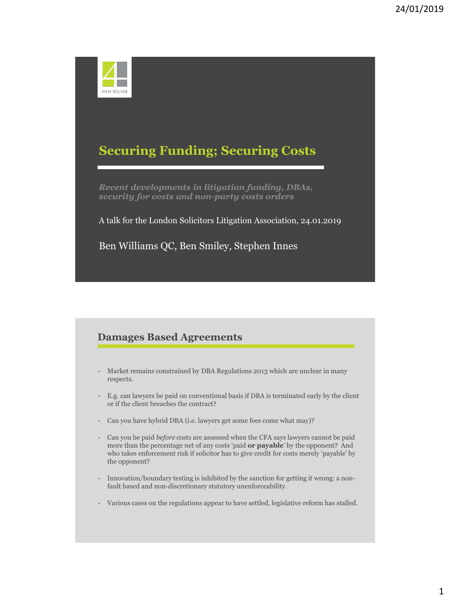

# **Securing Funding; Securing Costs**

*Recent developments in litigation funding, DBAs, security for costs and non-party costs orders*

A talk for the London Solicitors Litigation Association, 24.01.2019

Ben Williams QC, Ben Smiley, Stephen Innes

# **Damages Based Agreements**

- Market remains constrained by DBA Regulations 2013 which are unclear in many respects.
- E.g. can lawyers be paid on conventional basis if DBA is terminated early by the client or if the client breaches the contract?
- Can you have hybrid DBA (i.e. lawyers get some fees come what may)?
- Can you be paid *before* costs are assessed when the CFA says lawyers cannot be paid more than the percentage net of any costs 'paid **or payable**' by the opponent? And who takes enforcement risk if solicitor has to give credit for costs merely 'payable' by the opponent?
- Innovation/boundary testing is inhibited by the sanction for getting it wrong: a nonfault based and non-discretionary statutory unenforceability.
- Various cases on the regulations appear to have settled, legislative reform has stalled.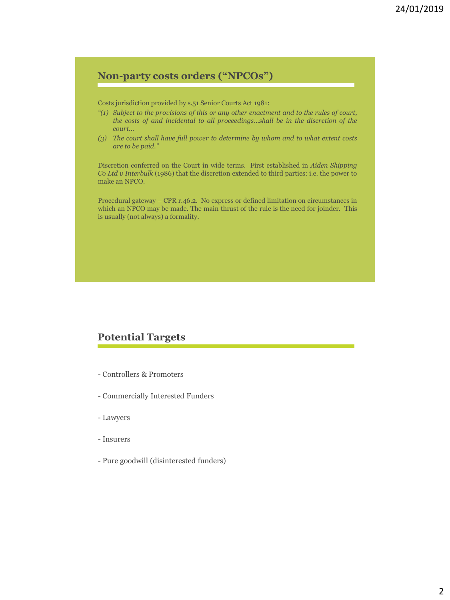# **Non-party costs orders ("NPCOs")**

Costs jurisdiction provided by s.51 Senior Courts Act 1981:

- *"(1) Subject to the provisions of this or any other enactment and to the rules of court, the costs of and incidental to all proceedings…shall be in the discretion of the court…*
- *(3) The court shall have full power to determine by whom and to what extent costs are to be paid."*

Discretion conferred on the Court in wide terms. First established in *Aiden Shipping Co Ltd v Interbulk* (1986) that the discretion extended to third parties: i.e. the power to make an NPCO.

Procedural gateway – CPR r.46.2. No express or defined limitation on circumstances in which an NPCO may be made. The main thrust of the rule is the need for joinder. This is usually (not always) a formality.

### **Potential Targets**

- Controllers & Promoters
- Commercially Interested Funders
- Lawyers
- Insurers
- Pure goodwill (disinterested funders)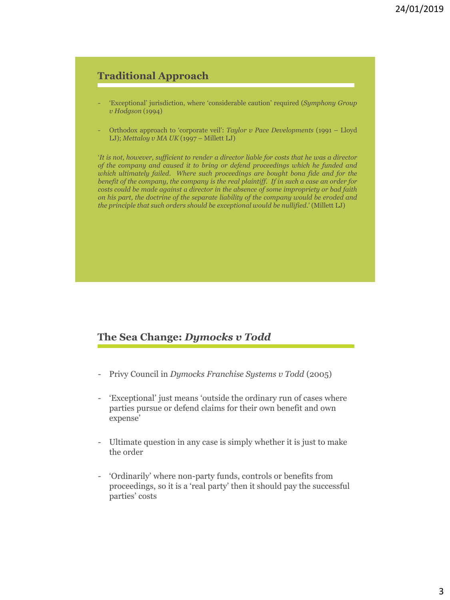## **Traditional Approach**

- 'Exceptional' jurisdiction, where 'considerable caution' required (*Symphony Group v Hodgson* (1994)
- Orthodox approach to 'corporate veil': *Taylor v Pace Developments* (1991 Lloyd LJ); *Mettaloy v MA UK* (1997 – Millett LJ)

'*It is not, however, sufficient to render a director liable for costs that he was a director of the company and caused it to bring or defend proceedings which he funded and which ultimately failed. Where such proceedings are bought bona fide and for the benefit of the company, the company is the real plaintiff. If in such a case an order for costs could be made against a director in the absence of some impropriety or bad faith on his part, the doctrine of the separate liability of the company would be eroded and the principle that such orders should be exceptional would be nullified.*' (Millett LJ)

#### **The Sea Change:** *Dymocks v Todd*

- Privy Council in *Dymocks Franchise Systems v Todd* (2005)
- 'Exceptional' just means 'outside the ordinary run of cases where parties pursue or defend claims for their own benefit and own expense'
- Ultimate question in any case is simply whether it is just to make the order
- 'Ordinarily' where non-party funds, controls or benefits from proceedings, so it is a 'real party' then it should pay the successful parties' costs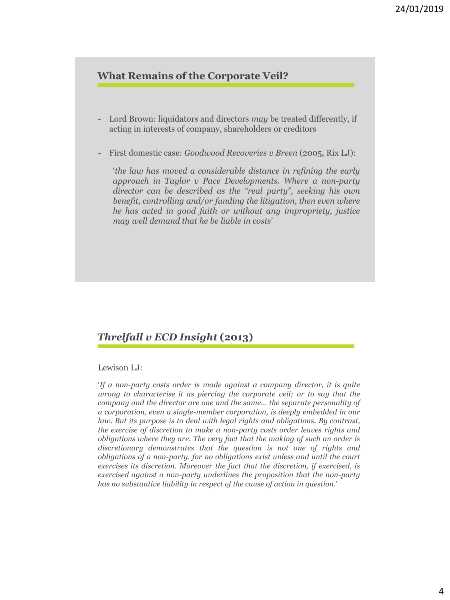### **What Remains of the Corporate Veil?**

- Lord Brown: liquidators and directors *may* be treated differently, if acting in interests of company, shareholders or creditors
- First domestic case: *Goodwood Recoveries v Breen* (2005, Rix LJ):

'*the law has moved a considerable distance in refining the early approach in Taylor v Pace Developments. Where a non-party director can be described as the "real party", seeking his own benefit, controlling and/or funding the litigation, then even where he has acted in good faith or without any impropriety, justice may well demand that he be liable in costs*'

# *Threlfall v ECD Insight* **(2013)**

Lewison LJ:

'*If a non-party costs order is made against a company director, it is quite wrong to characterise it as piercing the corporate veil; or to say that the company and the director are one and the same… the separate personality of a corporation, even a single-member corporation, is deeply embedded in our law. But its purpose is to deal with legal rights and obligations. By contrast, the exercise of discretion to make a non-party costs order leaves rights and obligations where they are. The very fact that the making of such an order is discretionary demonstrates that the question is not one of rights and obligations of a non-party, for no obligations exist unless and until the court exercises its discretion. Moreover the fact that the discretion, if exercised, is exercised against a non-party underlines the proposition that the non-party has no substantive liability in respect of the cause of action in question.*'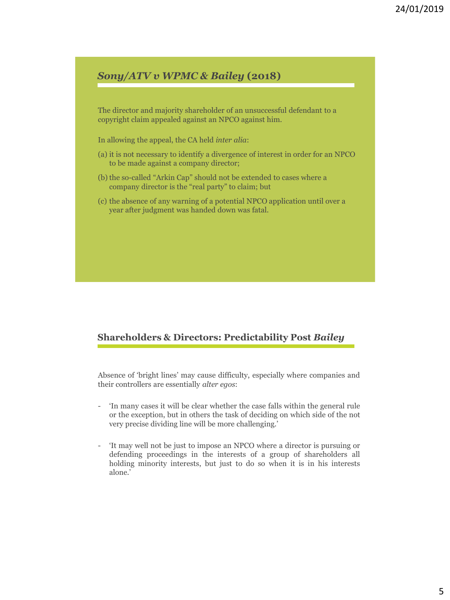# *Sony/ATV v WPMC & Bailey* **(2018)**

The director and majority shareholder of an unsuccessful defendant to a copyright claim appealed against an NPCO against him.

In allowing the appeal, the CA held *inter alia*:

- (a) it is not necessary to identify a divergence of interest in order for an NPCO to be made against a company director;
- (b) the so-called "Arkin Cap" should not be extended to cases where a company director is the "real party" to claim; but
- (c) the absence of any warning of a potential NPCO application until over a year after judgment was handed down was fatal.

#### **Shareholders & Directors: Predictability Post** *Bailey*

Absence of 'bright lines' may cause difficulty, especially where companies and their controllers are essentially *alter egos*:

- 'In many cases it will be clear whether the case falls within the general rule or the exception, but in others the task of deciding on which side of the not very precise dividing line will be more challenging.'
- 'It may well not be just to impose an NPCO where a director is pursuing or defending proceedings in the interests of a group of shareholders all holding minority interests, but just to do so when it is in his interests alone.'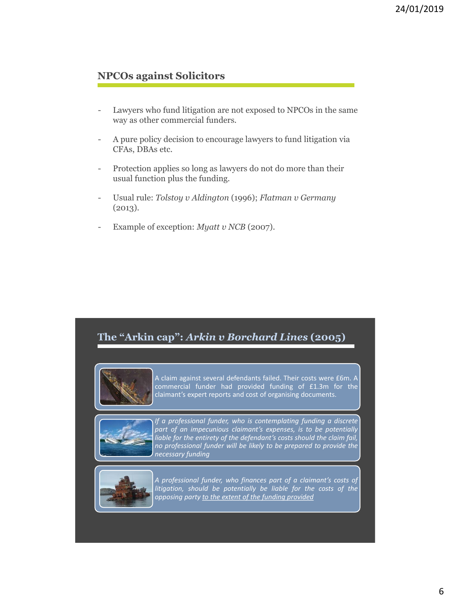## **NPCOs against Solicitors**

- Lawyers who fund litigation are not exposed to NPCOs in the same way as other commercial funders.
- A pure policy decision to encourage lawyers to fund litigation via CFAs, DBAs etc.
- Protection applies so long as lawyers do not do more than their usual function plus the funding.
- Usual rule: *Tolstoy v Aldington* (1996); *Flatman v Germany*   $(2013).$
- Example of exception: *Myatt v NCB* (2007).





A claim against several defendants failed. Their costs were £6m. A commercial funder had provided funding of £1.3m for the claimant's expert reports and cost of organising documents.



*If a professional funder, who is contemplating funding a discrete part of an impecunious claimant's expenses, is to be potentially liable for the entirety of the defendant's costs should the claim fail, no professional funder will be likely to be prepared to provide the necessary funding*



*A professional funder, who finances part of a claimant's costs of litigation, should be potentially be liable for the costs of the opposing party to the extent of the funding provided*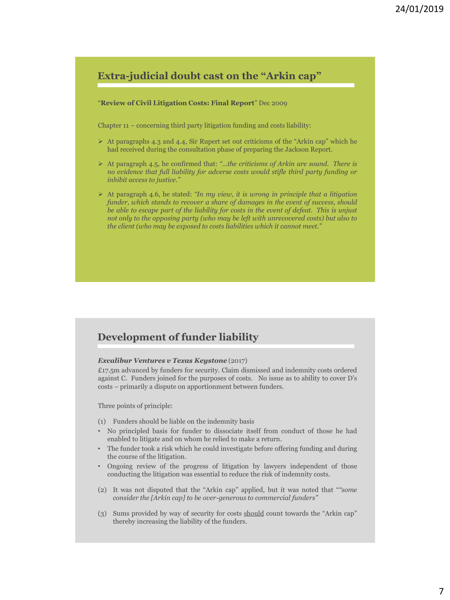# **Extra-judicial doubt cast on the "Arkin cap"**

#### "**Review of Civil Litigation Costs: Final Report**" Dec 2009

Chapter 11 – concerning third party litigation funding and costs liability:

- $\triangleright$  At paragraphs 4.3 and 4.4, Sir Rupert set out criticisms of the "Arkin cap" which he had received during the consultation phase of preparing the Jackson Report.
- ➢ At paragraph 4.5, he confirmed that: *"…the criticisms of Arkin are sound. There is no evidence that full liability for adverse costs would stifle third party funding or inhibit access to justice."*
- ➢ At paragraph 4.6, he stated: *"In my view, it is wrong in principle that a litigation funder, which stands to recover a share of damages in the event of success, should be able to escape part of the liability for costs in the event of defeat. This is unjust not only to the opposing party (who may be left with unrecovered costs) but also to the client (who may be exposed to costs liabilities which it cannot meet."*

### **Development of funder liability**

#### *Excalibur Ventures v Texas Keystone* (2017)

£17.5m advanced by funders for security. Claim dismissed and indemnity costs ordered against C. Funders joined for the purposes of costs. No issue as to ability to cover D's costs – primarily a dispute on apportionment between funders.

Three points of principle:

- (1) Funders should be liable on the indemnity basis
- No principled basis for funder to dissociate itself from conduct of those he had enabled to litigate and on whom he relied to make a return.
- The funder took a risk which he could investigate before offering funding and during the course of the litigation.
- Ongoing review of the progress of litigation by lawyers independent of those conducting the litigation was essential to reduce the risk of indemnity costs.
- (2) It was not disputed that the "Arkin cap" applied, but it was noted that "*"some consider the [Arkin cap] to be over-generous to commercial funders"*
- (3) Sums provided by way of security for costs should count towards the "Arkin cap" thereby increasing the liability of the funders.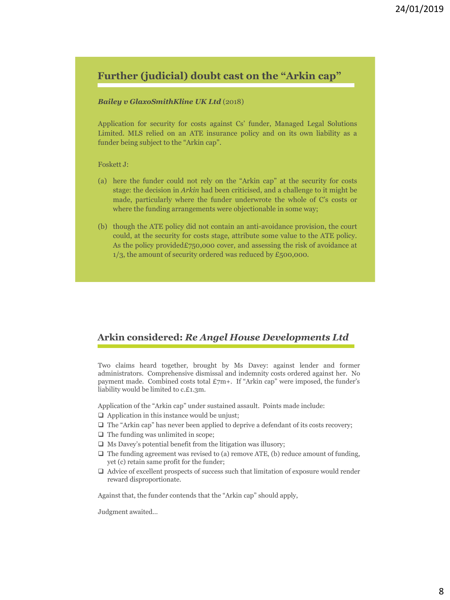# **Further (judicial) doubt cast on the "Arkin cap"**

#### *Bailey v GlaxoSmithKline UK Ltd* (2018)

Application for security for costs against Cs' funder, Managed Legal Solutions Limited. MLS relied on an ATE insurance policy and on its own liability as a funder being subject to the "Arkin cap".

#### Foskett J:

- (a) here the funder could not rely on the "Arkin cap" at the security for costs stage: the decision in *Arkin* had been criticised, and a challenge to it might be made, particularly where the funder underwrote the whole of C's costs or where the funding arrangements were objectionable in some way;
- (b) though the ATE policy did not contain an anti-avoidance provision, the court could, at the security for costs stage, attribute some value to the ATE policy. As the policy provided£750,000 cover, and assessing the risk of avoidance at  $1/3$ , the amount of security ordered was reduced by £500,000.

#### **Arkin considered:** *Re Angel House Developments Ltd*

Two claims heard together, brought by Ms Davey: against lender and former administrators. Comprehensive dismissal and indemnity costs ordered against her. No payment made. Combined costs total £7m+. If "Arkin cap" were imposed, the funder's liability would be limited to c.£1.3m.

Application of the "Arkin cap" under sustained assault. Points made include:

- $\Box$  Application in this instance would be unjust;
- $\Box$  The "Arkin cap" has never been applied to deprive a defendant of its costs recovery;
- $\Box$  The funding was unlimited in scope;
- $\Box$  Ms Davey's potential benefit from the litigation was illusory;
- $\Box$  The funding agreement was revised to (a) remove ATE, (b) reduce amount of funding, yet (c) retain same profit for the funder;
- $\Box$  Advice of excellent prospects of success such that limitation of exposure would render reward disproportionate.

Against that, the funder contends that the "Arkin cap" should apply,

Judgment awaited…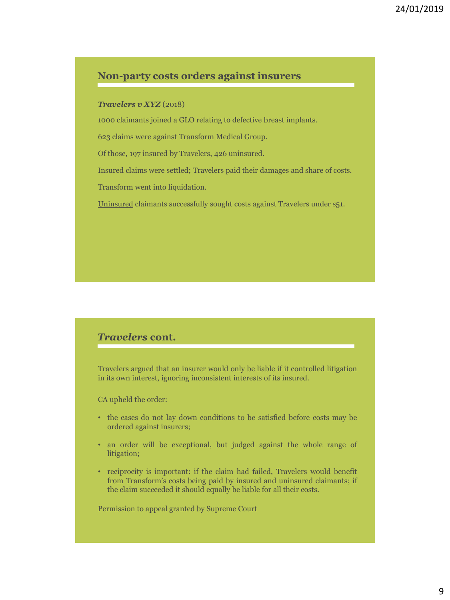#### **Non-party costs orders against insurers**

#### *Travelers v XYZ* (2018)

1000 claimants joined a GLO relating to defective breast implants.

623 claims were against Transform Medical Group.

Of those, 197 insured by Travelers, 426 uninsured.

Insured claims were settled; Travelers paid their damages and share of costs.

Transform went into liquidation.

Uninsured claimants successfully sought costs against Travelers under s51.

#### *Travelers* **cont.**

Travelers argued that an insurer would only be liable if it controlled litigation in its own interest, ignoring inconsistent interests of its insured.

CA upheld the order:

- the cases do not lay down conditions to be satisfied before costs may be ordered against insurers;
- an order will be exceptional, but judged against the whole range of litigation;
- reciprocity is important: if the claim had failed, Travelers would benefit from Transform's costs being paid by insured and uninsured claimants; if the claim succeeded it should equally be liable for all their costs.

Permission to appeal granted by Supreme Court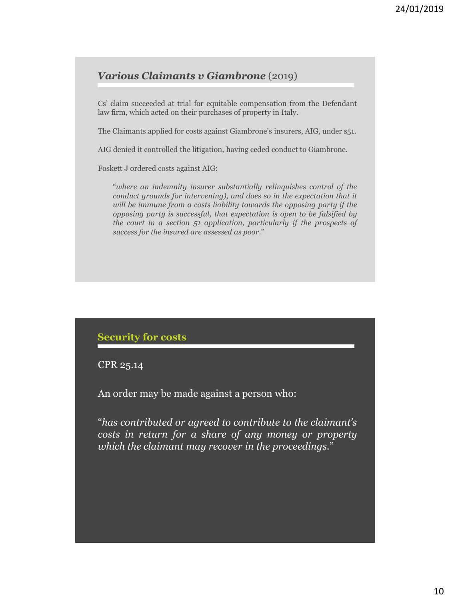### *Various Claimants v Giambrone* (2019)

Cs' claim succeeded at trial for equitable compensation from the Defendant law firm, which acted on their purchases of property in Italy.

The Claimants applied for costs against Giambrone's insurers, AIG, under s51.

AIG denied it controlled the litigation, having ceded conduct to Giambrone.

Foskett J ordered costs against AIG:

"*where an indemnity insurer substantially relinquishes control of the conduct grounds for intervening), and does so in the expectation that it will be immune from a costs liability towards the opposing party if the opposing party is successful, that expectation is open to be falsified by the court in a section 51 application, particularly if the prospects of success for the insured are assessed as poor*."

#### **Security for costs**

CPR 25.14

An order may be made against a person who:

"*has contributed or agreed to contribute to the claimant's costs in return for a share of any money or property which the claimant may recover in the proceedings.*"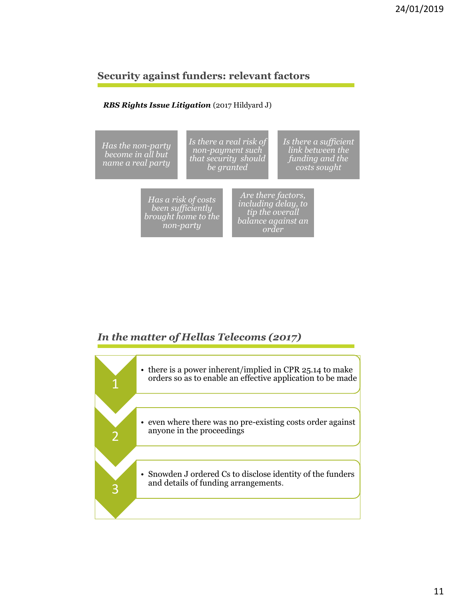## **Security against funders: relevant factors**

#### *RBS Rights Issue Litigation* (2017 Hildyard J)



# *In the matter of Hellas Telecoms (2017)*